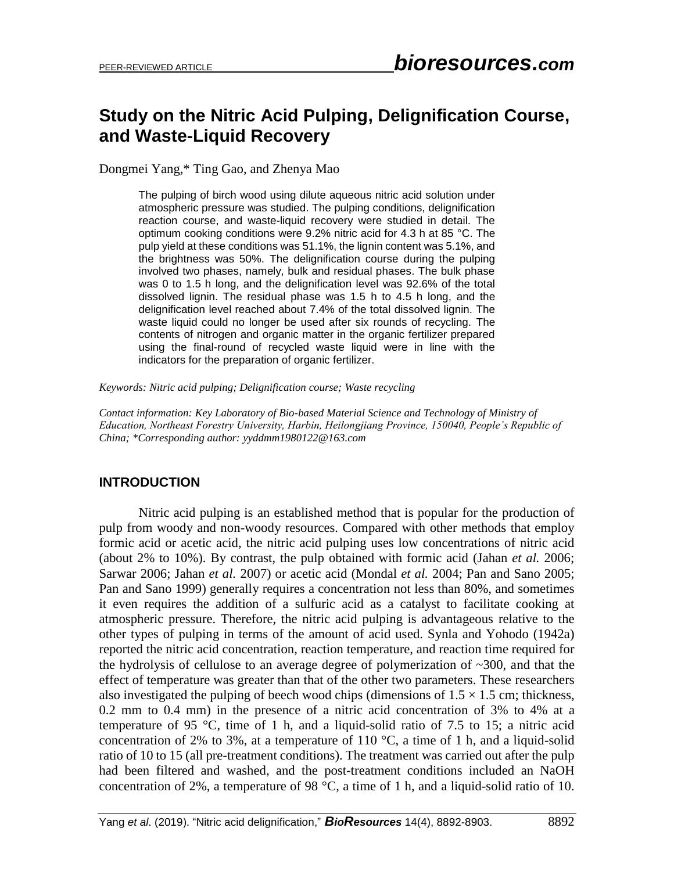# **Study on the Nitric Acid Pulping, Delignification Course, and Waste-Liquid Recovery**

Dongmei Yang,\* Ting Gao, and Zhenya Mao

The pulping of birch wood using dilute aqueous nitric acid solution under atmospheric pressure was studied. The pulping conditions, delignification reaction course, and waste-liquid recovery were studied in detail. The optimum cooking conditions were 9.2% nitric acid for 4.3 h at 85 °C. The pulp yield at these conditions was 51.1%, the lignin content was 5.1%, and the brightness was 50%. The delignification course during the pulping involved two phases, namely, bulk and residual phases. The bulk phase was 0 to 1.5 h long, and the delignification level was 92.6% of the total dissolved lignin. The residual phase was 1.5 h to 4.5 h long, and the delignification level reached about 7.4% of the total dissolved lignin. The waste liquid could no longer be used after six rounds of recycling. The contents of nitrogen and organic matter in the organic fertilizer prepared using the final-round of recycled waste liquid were in line with the indicators for the preparation of organic fertilizer.

*Keywords: Nitric acid pulping; Delignification course; Waste recycling*

*Contact information: Key Laboratory of Bio-based Material Science and Technology of Ministry of Education, Northeast Forestry University, Harbin, Heilongjiang Province, 150040, People's Republic of China; \*Corresponding author: yyddmm1980122@163.com*

#### **INTRODUCTION**

Nitric acid pulping is an established method that is popular for the production of pulp from woody and non-woody resources. Compared with other methods that employ formic acid or acetic acid, the nitric acid pulping uses low concentrations of nitric acid (about 2% to 10%). By contrast, the pulp obtained with formic acid (Jahan *et al.* 2006; Sarwar 2006; Jahan *et al.* 2007) or acetic acid (Mondal *et al.* 2004; Pan and Sano 2005; Pan and Sano 1999) generally requires a concentration not less than 80%, and sometimes it even requires the addition of a sulfuric acid as a catalyst to facilitate cooking at atmospheric pressure. Therefore, the nitric acid pulping is advantageous relative to the other types of pulping in terms of the amount of acid used. Synla and Yohodo (1942a) reported the nitric acid concentration, reaction temperature, and reaction time required for the hydrolysis of cellulose to an average degree of polymerization of ~300, and that the effect of temperature was greater than that of the other two parameters. These researchers also investigated the pulping of beech wood chips (dimensions of  $1.5 \times 1.5$  cm; thickness, 0.2 mm to 0.4 mm) in the presence of a nitric acid concentration of 3% to 4% at a temperature of 95  $\degree$ C, time of 1 h, and a liquid-solid ratio of 7.5 to 15; a nitric acid concentration of 2% to 3%, at a temperature of 110  $\degree$ C, a time of 1 h, and a liquid-solid ratio of 10 to 15 (all pre-treatment conditions). The treatment was carried out after the pulp had been filtered and washed, and the post-treatment conditions included an NaOH concentration of 2%, a temperature of 98 °C, a time of 1 h, and a liquid-solid ratio of 10.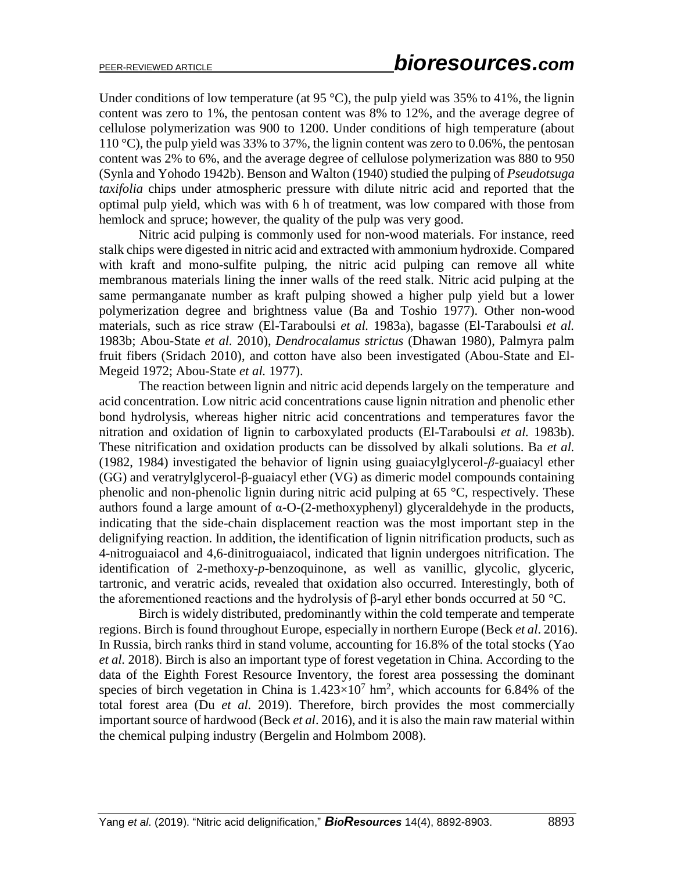Under conditions of low temperature (at 95 °C), the pulp yield was 35% to 41%, the lignin content was zero to 1%, the pentosan content was 8% to 12%, and the average degree of cellulose polymerization was 900 to 1200. Under conditions of high temperature (about 110 °C), the pulp yield was 33% to 37%, the lignin content was zero to 0.06%, the pentosan content was 2% to 6%, and the average degree of cellulose polymerization was 880 to 950 (Synla and Yohodo 1942b). Benson and Walton (1940) studied the pulping of *Pseudotsuga taxifolia* chips under atmospheric pressure with dilute nitric acid and reported that the optimal pulp yield, which was with 6 h of treatment, was low compared with those from hemlock and spruce; however, the quality of the pulp was very good.

Nitric acid pulping is commonly used for non-wood materials. For instance, reed stalk chips were digested in nitric acid and extracted with ammonium hydroxide. Compared with kraft and mono-sulfite pulping, the nitric acid pulping can remove all white membranous materials lining the inner walls of the reed stalk. Nitric acid pulping at the same permanganate number as kraft pulping showed a higher pulp yield but a lower polymerization degree and brightness value (Ba and Toshio 1977). Other non-wood materials, such as rice straw (El-Taraboulsi *et al.* 1983a), bagasse (El-Taraboulsi *et al.* 1983b; Abou-State *et al.* 2010), *Dendrocalamus strictus* (Dhawan 1980), Palmyra palm fruit fibers (Sridach 2010), and cotton have also been investigated (Abou-State and El-Megeid 1972; Abou-State *et al.* 1977).

The reaction between lignin and nitric acid depends largely on the temperature and acid concentration. Low nitric acid concentrations cause lignin nitration and phenolic ether bond hydrolysis, whereas higher nitric acid concentrations and temperatures favor the nitration and oxidation of lignin to carboxylated products (El-Taraboulsi *et al.* 1983b). These nitrification and oxidation products can be dissolved by alkali solutions. Ba *et al.* (1982, 1984) investigated the behavior of lignin using guaiacylglycerol-*β*-guaiacyl ether (GG) and veratrylglycerol-β-guaiacyl ether (VG) as dimeric model compounds containing phenolic and non-phenolic lignin during nitric acid pulping at 65 °C, respectively. These authors found a large amount of α-O-(2-methoxyphenyl) glyceraldehyde in the products, indicating that the side-chain displacement reaction was the most important step in the delignifying reaction. In addition, the identification of lignin nitrification products, such as 4-nitroguaiacol and 4,6-dinitroguaiacol, indicated that lignin undergoes nitrification. The identification of 2-methoxy-*p*-benzoquinone, as well as vanillic, glycolic, glyceric, tartronic, and veratric acids, revealed that oxidation also occurred. Interestingly, both of the aforementioned reactions and the hydrolysis of β-aryl ether bonds occurred at 50 °C.

Birch is widely distributed, predominantly within the cold temperate and temperate regions. Birch is found throughout Europe, especially in northern Europe (Beck *et al*. 2016). In Russia, birch ranks third in stand volume, accounting for 16.8% of the total stocks (Yao *et al.* 2018). Birch is also an important type of forest vegetation in China. According to the data of the Eighth Forest Resource Inventory, the forest area possessing the dominant species of birch vegetation in China is  $1.423 \times 10^7$  hm<sup>2</sup>, which accounts for 6.84% of the total forest area (Du *et al.* 2019). Therefore, birch provides the most commercially important source of hardwood (Beck *et al*. 2016), and it is also the main raw material within the chemical pulping industry (Bergelin and Holmbom 2008).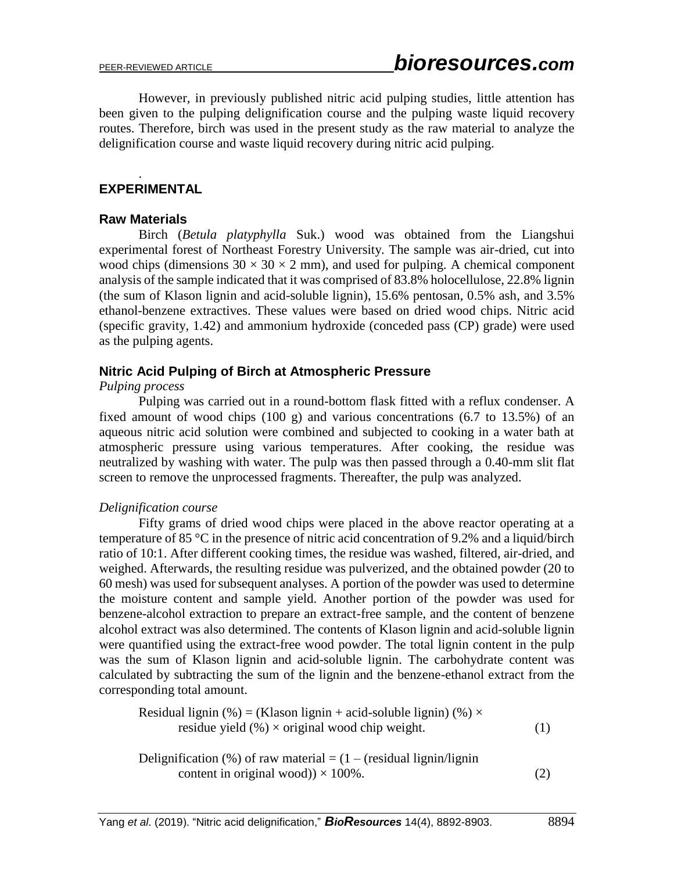However, in previously published nitric acid pulping studies, little attention has been given to the pulping delignification course and the pulping waste liquid recovery routes. Therefore, birch was used in the present study as the raw material to analyze the delignification course and waste liquid recovery during nitric acid pulping.

### **EXPERIMENTAL**

### **Raw Materials**

.

Birch (*Betula platyphylla* Suk.) wood was obtained from the Liangshui experimental forest of Northeast Forestry University. The sample was air-dried, cut into wood chips (dimensions  $30 \times 30 \times 2$  mm), and used for pulping. A chemical component analysis of the sample indicated that it was comprised of 83.8% holocellulose, 22.8% lignin (the sum of Klason lignin and acid-soluble lignin), 15.6% pentosan, 0.5% ash, and 3.5% ethanol-benzene extractives. These values were based on dried wood chips. Nitric acid (specific gravity, 1.42) and ammonium hydroxide (conceded pass (CP) grade) were used as the pulping agents.

### **Nitric Acid Pulping of Birch at Atmospheric Pressure**

### *Pulping process*

Pulping was carried out in a round-bottom flask fitted with a reflux condenser. A fixed amount of wood chips (100 g) and various concentrations (6.7 to 13.5%) of an aqueous nitric acid solution were combined and subjected to cooking in a water bath at atmospheric pressure using various temperatures. After cooking, the residue was neutralized by washing with water. The pulp was then passed through a 0.40-mm slit flat screen to remove the unprocessed fragments. Thereafter, the pulp was analyzed.

### *Delignification course*

Fifty grams of dried wood chips were placed in the above reactor operating at a temperature of 85 °C in the presence of nitric acid concentration of 9.2% and a liquid/birch ratio of 10:1. After different cooking times, the residue was washed, filtered, air-dried, and weighed. Afterwards, the resulting residue was pulverized, and the obtained powder (20 to 60 mesh) was used for subsequent analyses. A portion of the powder was used to determine the moisture content and sample yield. Another portion of the powder was used for benzene-alcohol extraction to prepare an extract-free sample, and the content of benzene alcohol extract was also determined. The contents of Klason lignin and acid-soluble lignin were quantified using the extract-free wood powder. The total lignin content in the pulp was the sum of Klason lignin and acid-soluble lignin. The carbohydrate content was calculated by subtracting the sum of the lignin and the benzene-ethanol extract from the corresponding total amount.

Residual lignin (%) = (Klason lignin + acid-soluble lignin) (%) × residue yield (%) × original wood chip weight. (1)

Delignification (%) of raw material  $= (1 - (residual)$  lignin/lignin content in original wood))  $\times$  100%. (2)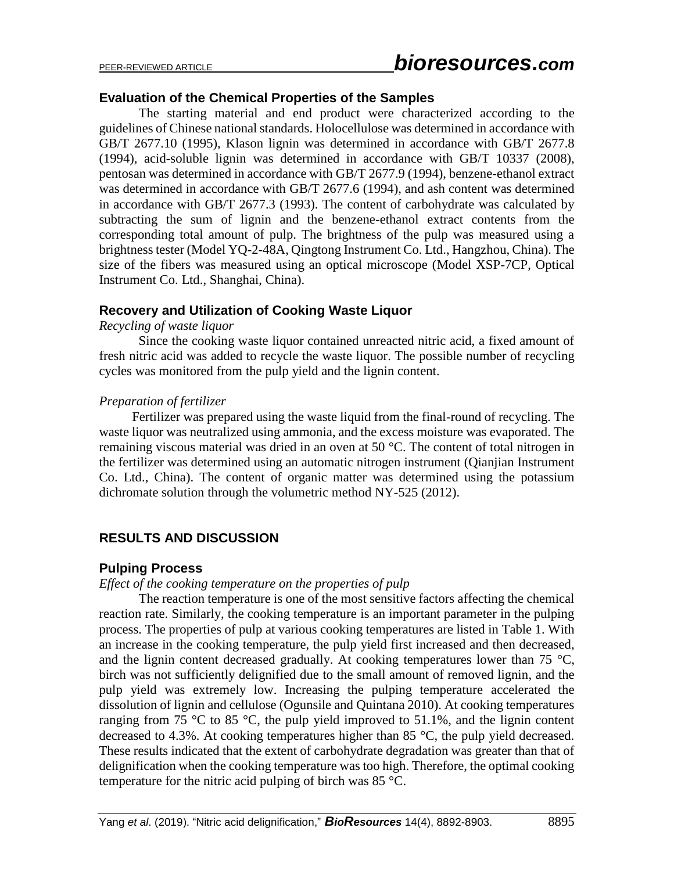### **Evaluation of the Chemical Properties of the Samples**

The starting material and end product were characterized according to the guidelines of Chinese national standards. Holocellulose was determined in accordance with GB/T 2677.10 (1995), Klason lignin was determined in accordance with GB/T 2677.8 (1994), acid-soluble lignin was determined in accordance with GB/T 10337 (2008), pentosan was determined in accordance with GB/T 2677.9 (1994), benzene-ethanol extract was determined in accordance with GB/T 2677.6 (1994), and ash content was determined in accordance with GB/T 2677.3 (1993). The content of carbohydrate was calculated by subtracting the sum of lignin and the benzene-ethanol extract contents from the corresponding total amount of pulp. The brightness of the pulp was measured using a brightness tester (Model YQ-2-48A, Qingtong Instrument Co. Ltd., Hangzhou, China). The size of the fibers was measured using an optical microscope (Model XSP-7CP, Optical Instrument Co. Ltd., Shanghai, China).

### **Recovery and Utilization of Cooking Waste Liquor**

### *Recycling of waste liquor*

Since the cooking waste liquor contained unreacted nitric acid, a fixed amount of fresh nitric acid was added to recycle the waste liquor. The possible number of recycling cycles was monitored from the pulp yield and the lignin content.

### *Preparation of fertilizer*

Fertilizer was prepared using the waste liquid from the final-round of recycling. The waste liquor was neutralized using ammonia, and the excess moisture was evaporated. The remaining viscous material was dried in an oven at 50 °C. The content of total nitrogen in the fertilizer was determined using an automatic nitrogen instrument (Qianjian Instrument Co. Ltd., China). The content of organic matter was determined using the potassium dichromate solution through the volumetric method NY-525 (2012).

### **RESULTS AND DISCUSSION**

### **Pulping Process**

### *Effect of the cooking temperature on the properties of pulp*

The reaction temperature is one of the most sensitive factors affecting the chemical reaction rate. Similarly, the cooking temperature is an important parameter in the pulping process. The properties of pulp at various cooking temperatures are listed in Table 1. With an increase in the cooking temperature, the pulp yield first increased and then decreased, and the lignin content decreased gradually. At cooking temperatures lower than 75  $\degree$ C, birch was not sufficiently delignified due to the small amount of removed lignin, and the pulp yield was extremely low. Increasing the pulping temperature accelerated the dissolution of lignin and cellulose (Ogunsile and Quintana 2010). At cooking temperatures ranging from 75  $\degree$ C to 85  $\degree$ C, the pulp yield improved to 51.1%, and the lignin content decreased to 4.3%. At cooking temperatures higher than 85 °C, the pulp yield decreased. These results indicated that the extent of carbohydrate degradation was greater than that of delignification when the cooking temperature was too high. Therefore, the optimal cooking temperature for the nitric acid pulping of birch was 85 °C.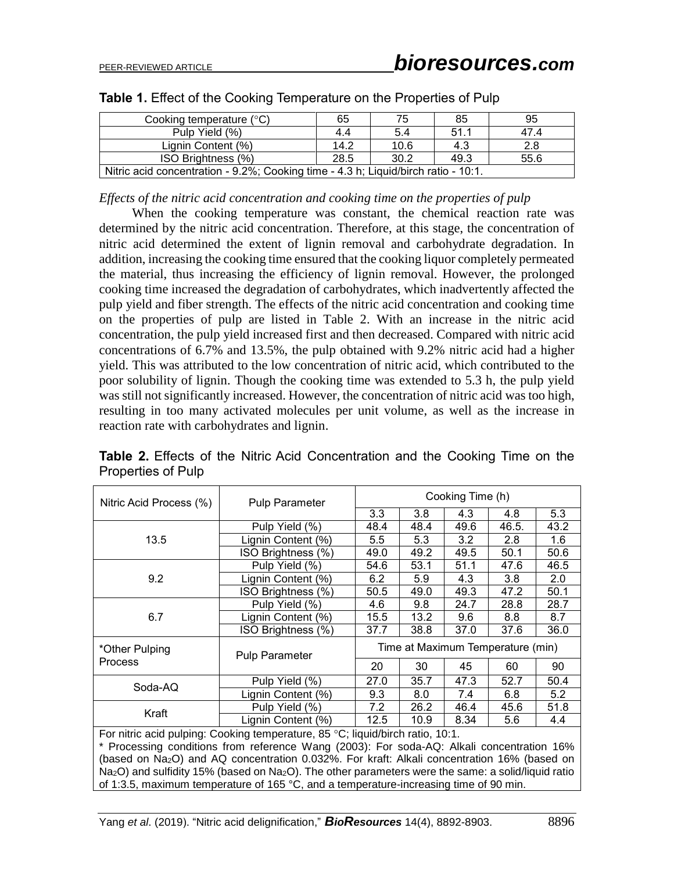| Cooking temperature $(^{\circ}C)$                                                  | 65   | 75   | 85   | 95   |  |  |
|------------------------------------------------------------------------------------|------|------|------|------|--|--|
| Pulp Yield (%)                                                                     | 4.4  | 5.4  | 51.1 | 47.4 |  |  |
| Lignin Content (%)                                                                 | 14.2 | 10.6 | 4.3  | 2.8  |  |  |
| ISO Brightness (%)<br>30.2<br>55.6<br>49.3<br>28.5                                 |      |      |      |      |  |  |
| Nitric acid concentration - 9.2%; Cooking time - 4.3 h; Liquid/birch ratio - 10:1. |      |      |      |      |  |  |

*Effects of the nitric acid concentration and cooking time on the properties of pulp*

When the cooking temperature was constant, the chemical reaction rate was determined by the nitric acid concentration. Therefore, at this stage, the concentration of nitric acid determined the extent of lignin removal and carbohydrate degradation. In addition, increasing the cooking time ensured that the cooking liquor completely permeated the material, thus increasing the efficiency of lignin removal. However, the prolonged cooking time increased the degradation of carbohydrates, which inadvertently affected the pulp yield and fiber strength. The effects of the nitric acid concentration and cooking time on the properties of pulp are listed in Table 2. With an increase in the nitric acid concentration, the pulp yield increased first and then decreased. Compared with nitric acid concentrations of 6.7% and 13.5%, the pulp obtained with 9.2% nitric acid had a higher yield. This was attributed to the low concentration of nitric acid, which contributed to the poor solubility of lignin. Though the cooking time was extended to 5.3 h, the pulp yield was still not significantly increased. However, the concentration of nitric acid was too high, resulting in too many activated molecules per unit volume, as well as the increase in reaction rate with carbohydrates and lignin.

**Table 2.** Effects of the Nitric Acid Concentration and the Cooking Time on the Properties of Pulp

| Nitric Acid Process (%)                                                                                 | <b>Pulp Parameter</b>                                                                                                                                                                                                                                                                  | Cooking Time (h)                  |      |      |       |      |  |
|---------------------------------------------------------------------------------------------------------|----------------------------------------------------------------------------------------------------------------------------------------------------------------------------------------------------------------------------------------------------------------------------------------|-----------------------------------|------|------|-------|------|--|
|                                                                                                         |                                                                                                                                                                                                                                                                                        | 3.3                               | 3.8  | 4.3  | 4.8   | 5.3  |  |
|                                                                                                         | Pulp Yield (%)                                                                                                                                                                                                                                                                         | 48.4                              | 48.4 | 49.6 | 46.5. | 43.2 |  |
| 13.5                                                                                                    | Lignin Content (%)                                                                                                                                                                                                                                                                     | 5.5                               | 5.3  | 3.2  | 2.8   | 1.6  |  |
|                                                                                                         | ISO Brightness (%)                                                                                                                                                                                                                                                                     | 49.0                              | 49.2 | 49.5 | 50.1  | 50.6 |  |
|                                                                                                         | Pulp Yield (%)                                                                                                                                                                                                                                                                         | 54.6                              | 53.1 | 51.1 | 47.6  | 46.5 |  |
| 9.2                                                                                                     | Lignin Content (%)                                                                                                                                                                                                                                                                     | 6.2                               | 5.9  | 4.3  | 3.8   | 2.0  |  |
|                                                                                                         | ISO Brightness (%)                                                                                                                                                                                                                                                                     | 50.5                              | 49.0 | 49.3 | 47.2  | 50.1 |  |
| 6.7                                                                                                     | Pulp Yield (%)                                                                                                                                                                                                                                                                         | 4.6                               | 9.8  | 24.7 | 28.8  | 28.7 |  |
|                                                                                                         | Lignin Content (%)                                                                                                                                                                                                                                                                     | 15.5                              | 13.2 | 9.6  | 8.8   | 8.7  |  |
|                                                                                                         | ISO Brightness (%)                                                                                                                                                                                                                                                                     | 37.7                              | 38.8 | 37.0 | 37.6  | 36.0 |  |
| *Other Pulping                                                                                          | <b>Pulp Parameter</b>                                                                                                                                                                                                                                                                  | Time at Maximum Temperature (min) |      |      |       |      |  |
| <b>Process</b>                                                                                          |                                                                                                                                                                                                                                                                                        | 20                                | 30   | 45   | 60    | 90   |  |
| Soda-AQ                                                                                                 | Pulp Yield (%)                                                                                                                                                                                                                                                                         | 27.0                              | 35.7 | 47.3 | 52.7  | 50.4 |  |
|                                                                                                         | Lignin Content (%)                                                                                                                                                                                                                                                                     | 9.3                               | 8.0  | 7.4  | 6.8   | 5.2  |  |
|                                                                                                         | Pulp Yield (%)                                                                                                                                                                                                                                                                         | 7.2                               | 26.2 | 46.4 | 45.6  | 51.8 |  |
| Kraft                                                                                                   | Lignin Content (%)                                                                                                                                                                                                                                                                     | 12.5                              | 10.9 | 8.34 | 5.6   | 4.4  |  |
|                                                                                                         | For nitric acid pulping: Cooking temperature, 85 °C; liquid/birch ratio, 10:1.<br>* Processing conditions from reference Wang (2003): For soda-AQ: Alkali concentration 16%<br>(based on Na <sub>2</sub> O) and AQ concentration 0.032%. For kraft: Alkali concentration 16% (based on |                                   |      |      |       |      |  |
| $Na2O$ ) and sulfidity 15% (based on $Na2O$ ). The other parameters were the same: a solid/liquid ratio |                                                                                                                                                                                                                                                                                        |                                   |      |      |       |      |  |

of 1:3.5, maximum temperature of 165 °C, and a temperature-increasing time of 90 min.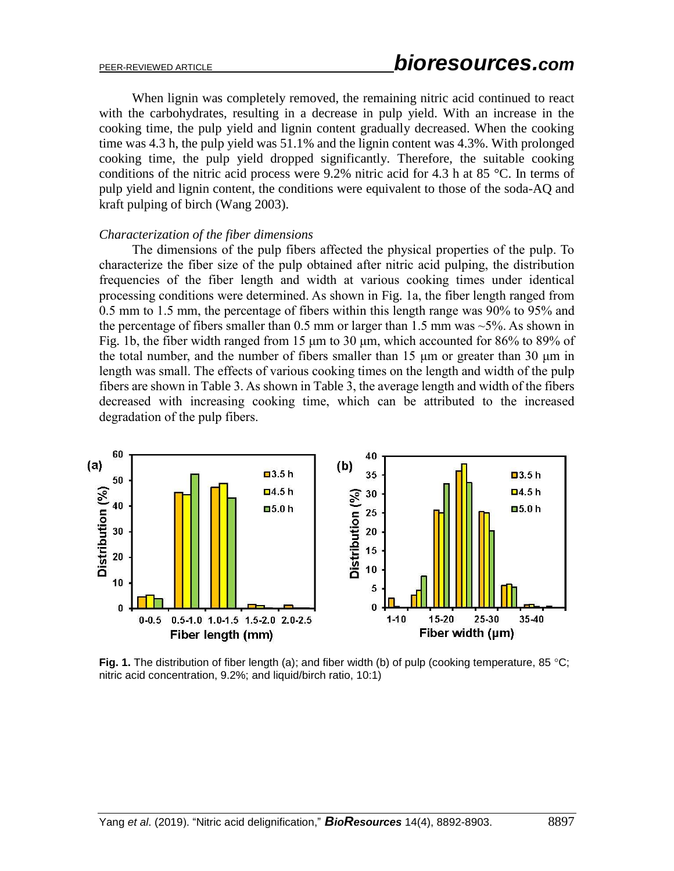When lignin was completely removed, the remaining nitric acid continued to react with the carbohydrates, resulting in a decrease in pulp yield. With an increase in the cooking time, the pulp yield and lignin content gradually decreased. When the cooking time was 4.3 h, the pulp yield was 51.1% and the lignin content was 4.3%. With prolonged cooking time, the pulp yield dropped significantly. Therefore, the suitable cooking conditions of the nitric acid process were 9.2% nitric acid for 4.3 h at 85 °C. In terms of pulp yield and lignin content, the conditions were equivalent to those of the soda-AQ and kraft pulping of birch (Wang 2003).

#### *Characterization of the fiber dimensions*

The dimensions of the pulp fibers affected the physical properties of the pulp. To characterize the fiber size of the pulp obtained after nitric acid pulping, the distribution frequencies of the fiber length and width at various cooking times under identical processing conditions were determined. As shown in Fig. 1a, the fiber length ranged from 0.5 mm to 1.5 mm, the percentage of fibers within this length range was 90% to 95% and the percentage of fibers smaller than  $0.5$  mm or larger than 1.5 mm was  $\sim$ 5%. As shown in Fig. 1b, the fiber width ranged from 15 μm to 30 μm, which accounted for 86% to 89% of the total number, and the number of fibers smaller than 15 μm or greater than 30 μm in length was small. The effects of various cooking times on the length and width of the pulp fibers are shown in Table 3. As shown in Table 3, the average length and width of the fibers decreased with increasing cooking time, which can be attributed to the increased degradation of the pulp fibers.



**Fig. 1.** The distribution of fiber length (a); and fiber width (b) of pulp (cooking temperature, 85 °C; nitric acid concentration, 9.2%; and liquid/birch ratio, 10:1)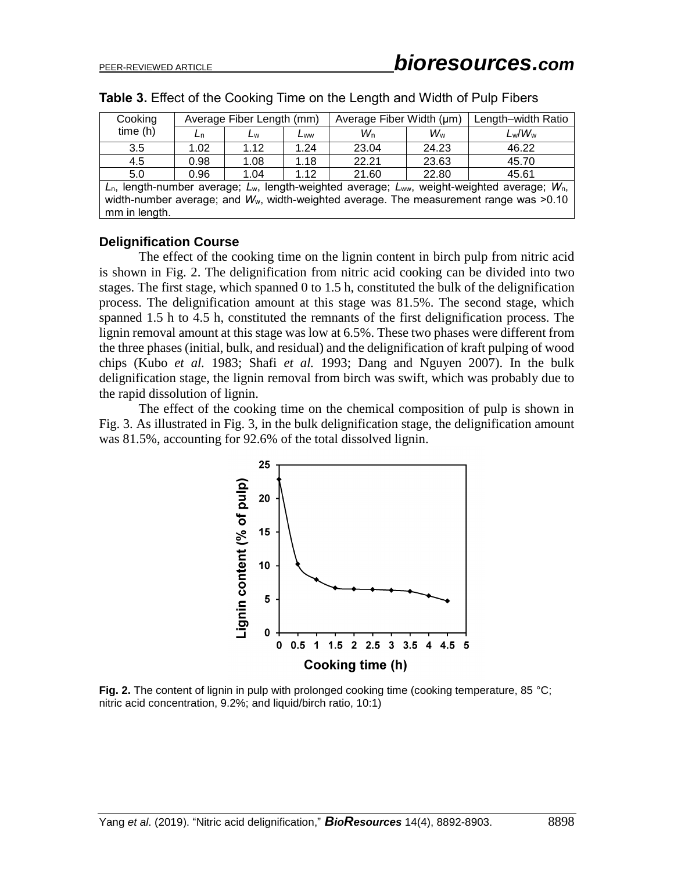| Cooking                                                                                                     | Average Fiber Length (mm)<br>Average Fiber Width (µm) |      |      | Length-width Ratio |                |           |  |
|-------------------------------------------------------------------------------------------------------------|-------------------------------------------------------|------|------|--------------------|----------------|-----------|--|
| time(h)                                                                                                     | Ln                                                    | Lw   | Lww  | $W_{n}$            | W <sub>w</sub> | $L_w/W_w$ |  |
| 3.5                                                                                                         | 1.02                                                  | 1.12 | 1.24 | 23.04              | 24.23          | 46.22     |  |
| 4.5                                                                                                         | 0.98                                                  | 1.08 | 1.18 | 22.21              | 23.63          | 45.70     |  |
| 5.0                                                                                                         | 0.96                                                  | 1.04 | 1.12 | 21.60              | 22.80          | 45.61     |  |
| $L_n$ , length-number average; $L_w$ , length-weighted average; $L_{ww}$ , weight-weighted average; $W_n$ , |                                                       |      |      |                    |                |           |  |
| width-number average; and $W_w$ , width-weighted average. The measurement range was >0.10                   |                                                       |      |      |                    |                |           |  |
| mm in length.                                                                                               |                                                       |      |      |                    |                |           |  |

**Table 3.** Effect of the Cooking Time on the Length and Width of Pulp Fibers

### **Delignification Course**

The effect of the cooking time on the lignin content in birch pulp from nitric acid is shown in Fig. 2. The delignification from nitric acid cooking can be divided into two stages. The first stage, which spanned 0 to 1.5 h, constituted the bulk of the delignification process. The delignification amount at this stage was 81.5%. The second stage, which spanned 1.5 h to 4.5 h, constituted the remnants of the first delignification process. The lignin removal amount at this stage was low at 6.5%. These two phases were different from the three phases (initial, bulk, and residual) and the delignification of kraft pulping of wood chips (Kubo *et al.* 1983; Shafi *et al.* 1993; Dang and Nguyen 2007). In the bulk delignification stage, the lignin removal from birch was swift, which was probably due to the rapid dissolution of lignin.

The effect of the cooking time on the chemical composition of pulp is shown in Fig. 3. As illustrated in Fig. 3, in the bulk delignification stage, the delignification amount was 81.5%, accounting for 92.6% of the total dissolved lignin.



Fig. 2. The content of lignin in pulp with prolonged cooking time (cooking temperature, 85 °C; nitric acid concentration, 9.2%; and liquid/birch ratio, 10:1)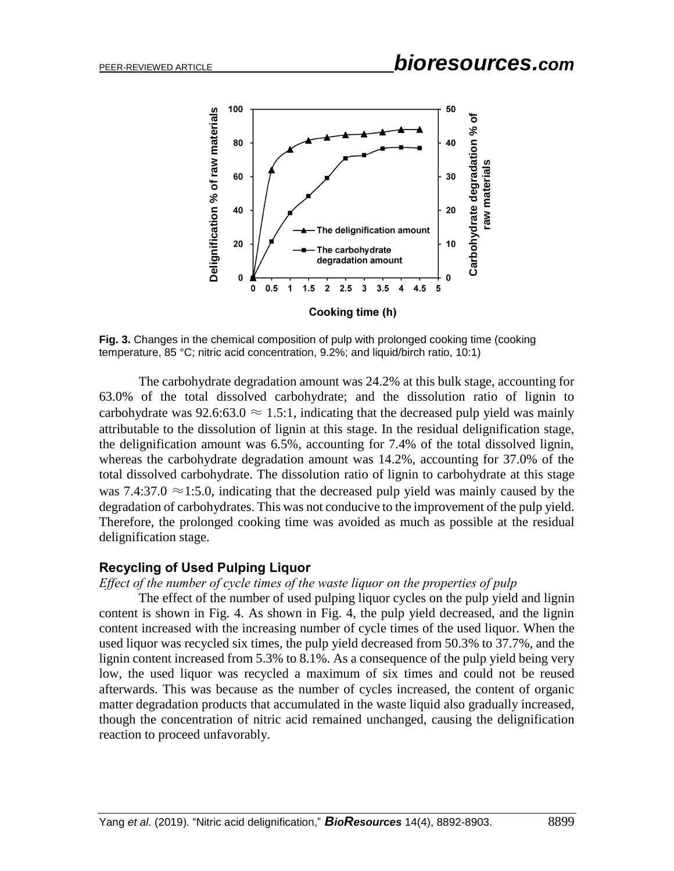

**Fig. 3.** Changes in the chemical composition of pulp with prolonged cooking time (cooking temperature, 85 °C; nitric acid concentration, 9.2%; and liquid/birch ratio, 10:1)

The carbohydrate degradation amount was 24.2% at this bulk stage, accounting for 63.0% of the total dissolved carbohydrate; and the dissolution ratio of lignin to carbohydrate was  $92.6:63.0 \approx 1.5:1$ , indicating that the decreased pulp yield was mainly attributable to the dissolution of lignin at this stage. In the residual delignification stage, the delignification amount was 6.5%, accounting for 7.4% of the total dissolved lignin, whereas the carbohydrate degradation amount was 14.2%, accounting for 37.0% of the total dissolved carbohydrate. The dissolution ratio of lignin to carbohydrate at this stage was 7.4:37.0  $\approx$ 1:5.0, indicating that the decreased pulp yield was mainly caused by the degradation of carbohydrates. This was not conducive to the improvement of the pulp yield. Therefore, the prolonged cooking time was avoided as much as possible at the residual delignification stage. **Example 1 Example 1 Example 1 CONDIGG UNDER (CONDIGG)**<br> **Example 2 CONDIGG 2 CONDIGING 2 CONDIGING 2 CONDIGING 2 CONDIGING 2 CONDIGG 2 CONDIGING 2 CONDIGING 2 CONDIGING 2 CONDIGING 2 CONDIGI** 

#### **Recycling of Used Pulping Liquor**

*Effect of the number of cycle times of the waste liquor on the properties of pulp*

The effect of the number of used pulping liquor cycles on the pulp yield and lignin content is shown in Fig. 4. As shown in Fig. 4, the pulp yield decreased, and the lignin content increased with the increasing number of cycle times of the used liquor. When the used liquor was recycled six times, the pulp yield decreased from 50.3% to 37.7%, and the lignin content increased from 5.3% to 8.1%. As a consequence of the pulp yield being very low, the used liquor was recycled a maximum of six times and could not be reused afterwards. This was because as the number of cycles increased, the content of organic matter degradation products that accumulated in the waste liquid also gradually increased, though the concentration of nitric acid remained unchanged, causing the delignification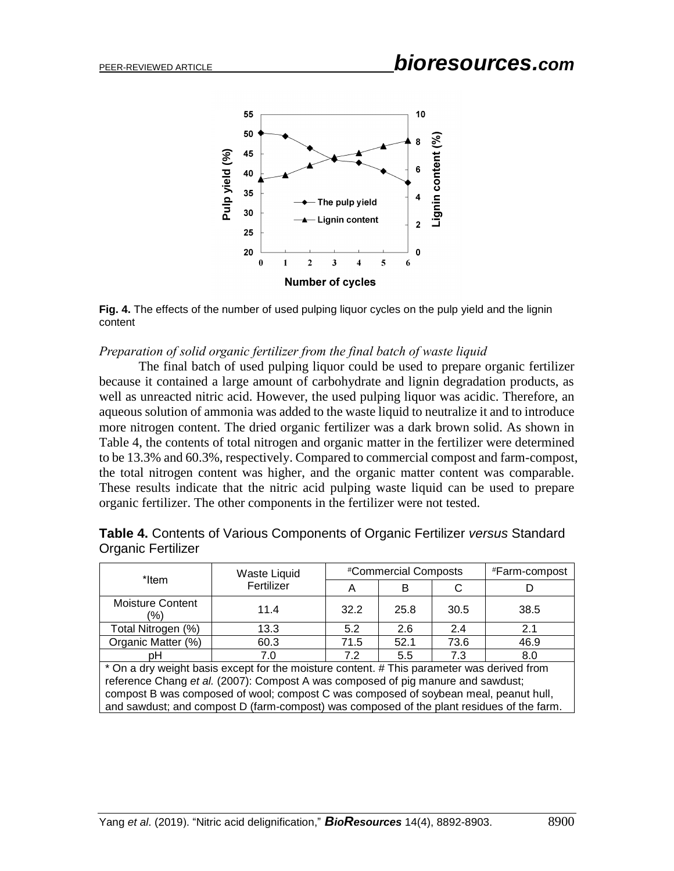

**Fig. 4.** The effects of the number of used pulping liquor cycles on the pulp yield and the lignin content

#### *Preparation of solid organic fertilizer from the final batch of waste liquid*

The final batch of used pulping liquor could be used to prepare organic fertilizer because it contained a large amount of carbohydrate and lignin degradation products, as well as unreacted nitric acid. However, the used pulping liquor was acidic. Therefore, an aqueous solution of ammonia was added to the waste liquid to neutralize it and to introduce more nitrogen content. The dried organic fertilizer was a dark brown solid. As shown in Table 4, the contents of total nitrogen and organic matter in the fertilizer were determined to be 13.3% and 60.3%, respectively. Compared to commercial compost and farm-compost, the total nitrogen content was higher, and the organic matter content was comparable. These results indicate that the nitric acid pulping waste liquid can be used to prepare organic fertilizer. The other components in the fertilizer were not tested. and sawdust; and compost D (farm-compost) was composed of the plant residues of the farm. **Pulp yield (%)**

| *Item                                                                                      | Waste Liquid |      | #Commercial Composts | #Farm-compost |      |  |  |
|--------------------------------------------------------------------------------------------|--------------|------|----------------------|---------------|------|--|--|
|                                                                                            | Fertilizer   | A    | в                    |               |      |  |  |
| Moisture Content<br>(%)                                                                    | 11.4         | 32.2 | 25.8                 | 30.5          | 38.5 |  |  |
| Total Nitrogen (%)                                                                         | 13.3         | 5.2  | 2.6                  | 2.4           | 2.1  |  |  |
| Organic Matter (%)                                                                         | 60.3         | 71.5 | 52.1                 | 73.6          | 46.9 |  |  |
| pН                                                                                         | 7.0          | 7.2  | 5.5                  | 7.3           | 8.0  |  |  |
| * On a dry weight basis except for the moisture content. # This parameter was derived from |              |      |                      |               |      |  |  |
| reference Chang et al. (2007): Compost A was composed of pig manure and sawdust;           |              |      |                      |               |      |  |  |
| compost B was composed of wool; compost C was composed of soybean meal, peanut hull,       |              |      |                      |               |      |  |  |
| and couglist; and compact D (form compact) was compassed of the plant residuos of the form |              |      |                      |               |      |  |  |

**Table 4.** Contents of Various Components of Organic Fertilizer *versus* Standard Organic Fertilizer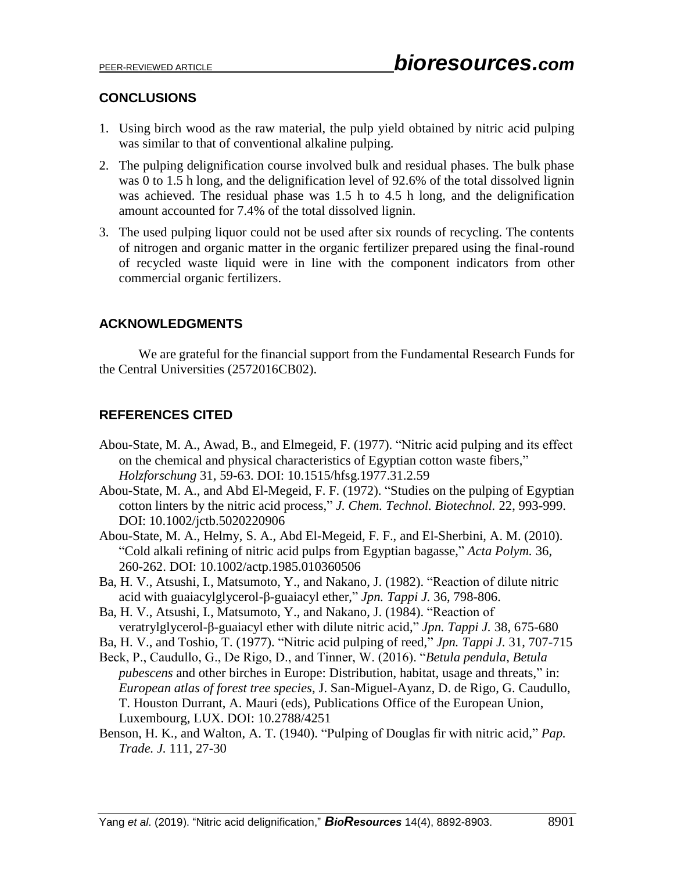# **CONCLUSIONS**

- 1. Using birch wood as the raw material, the pulp yield obtained by nitric acid pulping was similar to that of conventional alkaline pulping.
- 2. The pulping delignification course involved bulk and residual phases. The bulk phase was 0 to 1.5 h long, and the delignification level of 92.6% of the total dissolved lignin was achieved. The residual phase was 1.5 h to 4.5 h long, and the delignification amount accounted for 7.4% of the total dissolved lignin.
- 3. The used pulping liquor could not be used after six rounds of recycling. The contents of nitrogen and organic matter in the organic fertilizer prepared using the final-round of recycled waste liquid were in line with the component indicators from other commercial organic fertilizers.

# **ACKNOWLEDGMENTS**

We are grateful for the financial support from the Fundamental Research Funds for the Central Universities (2572016CB02).

# **REFERENCES CITED**

- Abou-State, M. A., Awad, B., and Elmegeid, F. (1977). "Nitric acid pulping and its effect on the chemical and physical characteristics of Egyptian cotton waste fibers," *Holzforschung* 31, 59-63. DOI: 10.1515/hfsg.1977.31.2.59
- Abou-State, M. A., and Abd El-Megeid, F. F. (1972). "Studies on the pulping of Egyptian cotton linters by the nitric acid process," *J. Chem. Technol. Biotechnol.* 22, 993-999. DOI: 10.1002/jctb.5020220906
- Abou-State, M. A., Helmy, S. A., Abd El-Megeid, F. F., and El-Sherbini, A. M. (2010). "Cold alkali refining of nitric acid pulps from Egyptian bagasse," *Acta Polym.* 36, 260-262. DOI: 10.1002/actp.1985.010360506
- Ba, H. V., Atsushi, I., Matsumoto, Y., and Nakano, J. (1982). "Reaction of dilute nitric acid with guaiacylglycerol-β-guaiacyl ether," *Jpn. Tappi J.* 36, 798-806.
- Ba, H. V., Atsushi, I., Matsumoto, Y., and Nakano, J. (1984). "Reaction of veratrylglycerol-β-guaiacyl ether with dilute nitric acid," *Jpn. Tappi J.* 38, 675-680
- Ba, H. V., and Toshio, T. (1977). "Nitric acid pulping of reed," *Jpn. Tappi J.* 31, 707-715
- Beck, P., Caudullo, G., De Rigo, D., and Tinner, W. (2016). "*Betula pendula*, *Betula pubescens* and other birches in Europe: Distribution, habitat, usage and threats," in: *European atlas of forest tree species*, J. San-Miguel-Ayanz, D. de Rigo, G. Caudullo, T. Houston Durrant, A. Mauri (eds), Publications Office of the European Union, Luxembourg, LUX. DOI: 10.2788/4251
- Benson, H. K., and Walton, A. T. (1940). "Pulping of Douglas fir with nitric acid," *Pap. Trade. J.* 111, 27-30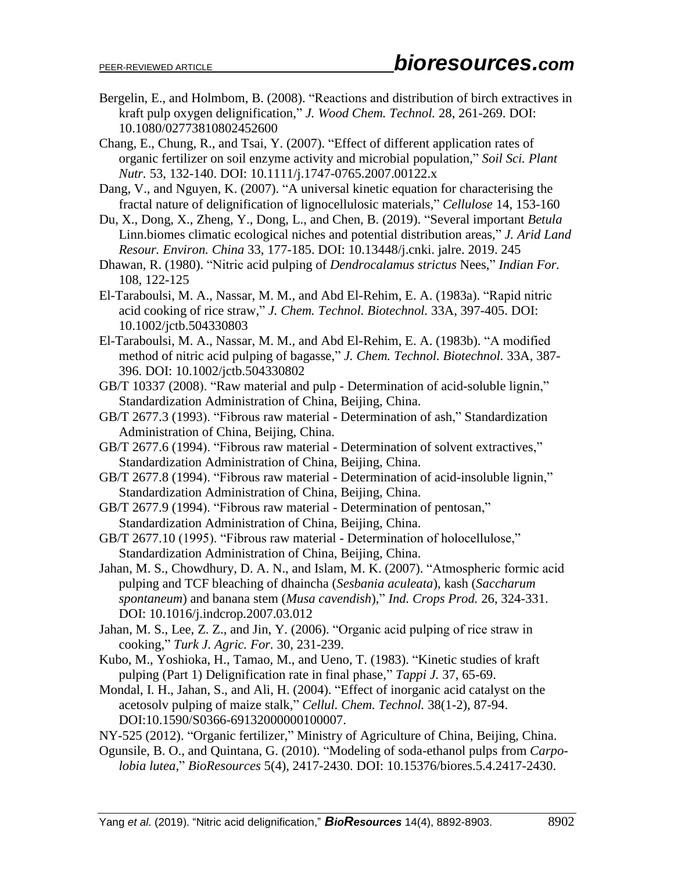- Bergelin, E., and Holmbom, B. (2008). "Reactions and distribution of birch extractives in kraft pulp oxygen delignification," *J. Wood Chem. Technol.* 28, 261-269. DOI: 10.1080/02773810802452600
- Chang, E., Chung, R., and Tsai, Y. (2007). "Effect of different application rates of organic fertilizer on soil enzyme activity and microbial population," *Soil Sci. Plant Nutr.* 53, 132-140. DOI: 10.1111/j.1747-0765.2007.00122.x
- Dang, V., and Nguyen, K. (2007). "A universal kinetic equation for characterising the fractal nature of delignification of lignocellulosic materials," *Cellulose* 14, 153-160
- Du, X., Dong, X., Zheng, Y., Dong, L., and Chen, B. (2019). "Several important *Betula*  Linn.biomes climatic ecological niches and potential distribution areas," *J. Arid Land Resour. Environ. China* 33, 177-185. DOI: 10.13448/j.cnki. jalre. 2019. 245
- Dhawan, R. (1980). "Nitric acid pulping of *Dendrocalamus strictus* Nees," *Indian For.* 108, 122-125
- El-Taraboulsi, M. A., Nassar, M. M., and Abd El-Rehim, E. A. (1983a). "Rapid nitric acid cooking of rice straw," *J. Chem. Technol. Biotechnol.* 33A, 397-405. DOI: 10.1002/jctb.504330803
- El-Taraboulsi, M. A., Nassar, M. M., and Abd El-Rehim, E. A. (1983b). "A modified method of nitric acid pulping of bagasse," *J. Chem. Technol. Biotechnol.* 33A, 387- 396. DOI: 10.1002/jctb.504330802
- GB/T 10337 (2008). "Raw material and pulp Determination of acid-soluble lignin," Standardization Administration of China, Beijing, China.
- GB/T 2677.3 (1993). "Fibrous raw material Determination of ash," Standardization Administration of China, Beijing, China.
- GB/T 2677.6 (1994). "Fibrous raw material Determination of solvent extractives," Standardization Administration of China, Beijing, China.
- GB/T 2677.8 (1994). "Fibrous raw material Determination of acid-insoluble lignin," Standardization Administration of China, Beijing, China.
- GB/T 2677.9 (1994). "Fibrous raw material Determination of pentosan," Standardization Administration of China, Beijing, China.
- GB/T 2677.10 (1995). "Fibrous raw material Determination of holocellulose," Standardization Administration of China, Beijing, China.
- Jahan, M. S., Chowdhury, D. A. N., and Islam, M. K. (2007). "Atmospheric formic acid pulping and TCF bleaching of dhaincha (*Sesbania aculeata*), kash (*Saccharum spontaneum*) and banana stem (*Musa cavendish*)," *Ind. Crops Prod.* 26, 324-331. DOI: 10.1016/j.indcrop.2007.03.012
- Jahan, M. S., Lee, Z. Z., and Jin, Y. (2006). "Organic acid pulping of rice straw in cooking," *Turk J. Agric. For.* 30, 231-239.
- Kubo, M., Yoshioka, H., Tamao, M., and Ueno, T. (1983). "Kinetic studies of kraft pulping (Part 1) Delignification rate in final phase," *Tappi J.* 37, 65-69.
- Mondal, I. H., Jahan, S., and Ali, H. (2004). "Effect of inorganic acid catalyst on the acetosolv pulping of maize stalk," *Cellul. Chem. Technol.* 38(1-2), 87-94. DOI:10.1590/S0366-69132000000100007.
- NY-525 (2012). "Organic fertilizer," Ministry of Agriculture of China, Beijing, China.
- Ogunsile, B. O., and Quintana, G. (2010). "Modeling of soda-ethanol pulps from *Carpolobia lutea*," *BioResources* 5(4), 2417-2430. DOI: 10.15376/biores.5.4.2417-2430.